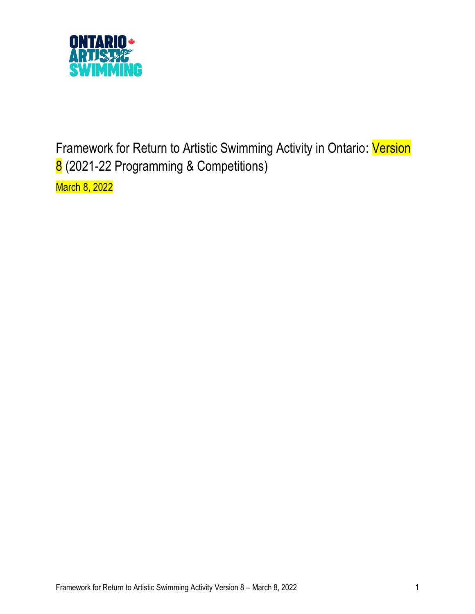

Framework for Return to Artistic Swimming Activity in Ontario: Version 8 (2021-22 Programming & Competitions)

March 8, 2022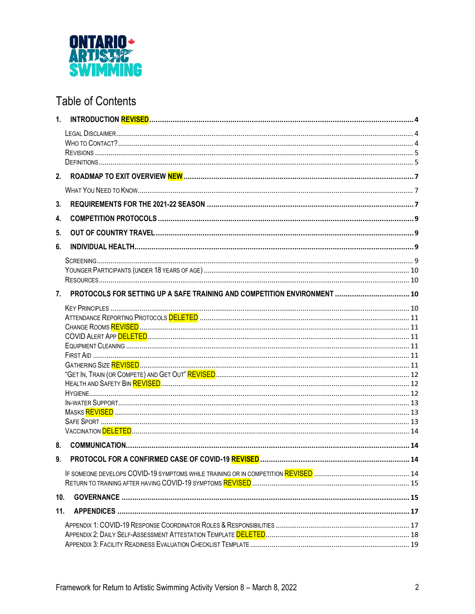

# **Table of Contents**

| 1.              |                                                                          |    |
|-----------------|--------------------------------------------------------------------------|----|
|                 |                                                                          |    |
|                 |                                                                          |    |
|                 |                                                                          |    |
|                 |                                                                          |    |
|                 |                                                                          |    |
|                 |                                                                          |    |
| 3.              |                                                                          |    |
| 4.              |                                                                          |    |
| 5.              |                                                                          |    |
| 6.              |                                                                          |    |
|                 |                                                                          |    |
|                 |                                                                          |    |
|                 |                                                                          |    |
| 7.              | PROTOCOLS FOR SETTING UP A SAFE TRAINING AND COMPETITION ENVIRONMENT  10 |    |
|                 |                                                                          |    |
|                 |                                                                          |    |
|                 |                                                                          |    |
|                 |                                                                          |    |
|                 |                                                                          |    |
|                 |                                                                          |    |
|                 |                                                                          |    |
|                 |                                                                          |    |
|                 |                                                                          |    |
|                 |                                                                          |    |
|                 |                                                                          |    |
|                 |                                                                          |    |
| 8.              |                                                                          |    |
| g               | PROTOCOL FOR A CONFIRMED CASE OF COVID-19 REVISED.                       | 14 |
|                 |                                                                          |    |
|                 |                                                                          |    |
| 10 <sub>1</sub> |                                                                          |    |
| 11.             |                                                                          |    |
|                 |                                                                          |    |
|                 |                                                                          |    |
|                 |                                                                          |    |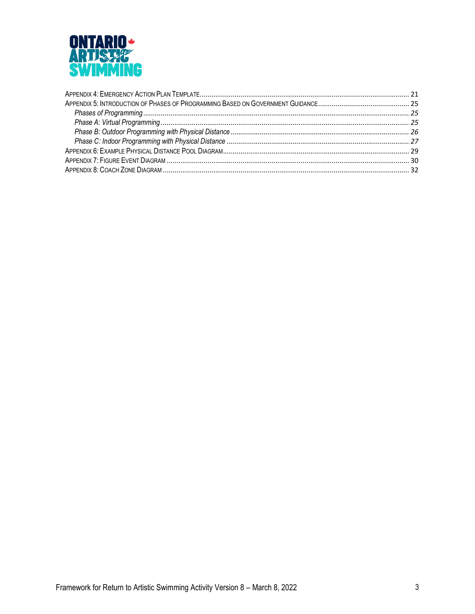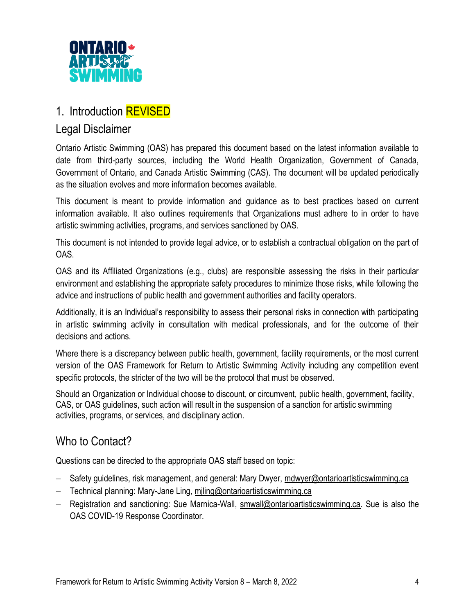

# 1. Introduction **REVISED**

## Legal Disclaimer

Ontario Artistic Swimming (OAS) has prepared this document based on the latest information available to date from third-party sources, including the World Health Organization, Government of Canada, Government of Ontario, and Canada Artistic Swimming (CAS). The document will be updated periodically as the situation evolves and more information becomes available.

This document is meant to provide information and guidance as to best practices based on current information available. It also outlines requirements that Organizations must adhere to in order to have artistic swimming activities, programs, and services sanctioned by OAS.

This document is not intended to provide legal advice, or to establish a contractual obligation on the part of OAS.

OAS and its Affiliated Organizations (e.g., clubs) are responsible assessing the risks in their particular environment and establishing the appropriate safety procedures to minimize those risks, while following the advice and instructions of public health and government authorities and facility operators.

Additionally, it is an Individual's responsibility to assess their personal risks in connection with participating in artistic swimming activity in consultation with medical professionals, and for the outcome of their decisions and actions.

Where there is a discrepancy between public health, government, facility requirements, or the most current version of the OAS Framework for Return to Artistic Swimming Activity including any competition event specific protocols, the stricter of the two will be the protocol that must be observed.

Should an Organization or Individual choose to discount, or circumvent, public health, government, facility, CAS, or OAS guidelines, such action will result in the suspension of a sanction for artistic swimming activities, programs, or services, and disciplinary action.

# Who to Contact?

Questions can be directed to the appropriate OAS staff based on topic:

- − Safety guidelines, risk management, and general: Mary Dwyer, [mdwyer@ontarioartisticswimming.ca](mailto:mdwyer@ontarioartisticswimming.ca)
- − Technical planning: Mary-Jane Ling, [mjling@ontarioartisticswimming.ca](mailto:mjling@ontarioartisticswimming.ca)
- − Registration and sanctioning: Sue Marnica-Wall, [smwall@ontarioartisticswimming.ca.](mailto:smwall@ontarioartisticswimming.ca) Sue is also the OAS COVID-19 Response Coordinator.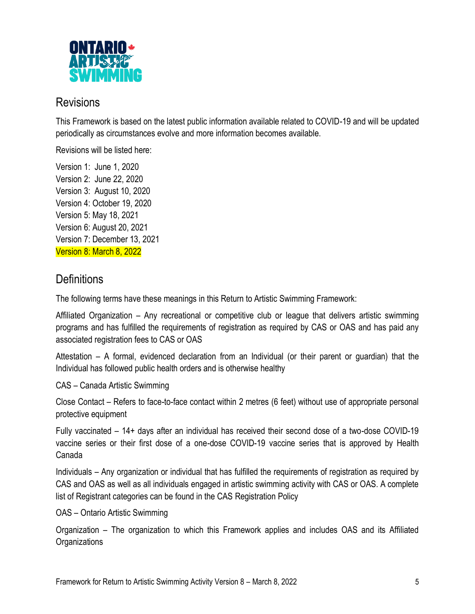

## **Revisions**

This Framework is based on the latest public information available related to COVID-19 and will be updated periodically as circumstances evolve and more information becomes available.

Revisions will be listed here:

Version 1: June 1, 2020 Version 2: June 22, 2020 Version 3: August 10, 2020 Version 4: October 19, 2020 Version 5: May 18, 2021 Version 6: August 20, 2021 Version 7: December 13, 2021 Version 8: March 8, 2022

# **Definitions**

The following terms have these meanings in this Return to Artistic Swimming Framework:

Affiliated Organization – Any recreational or competitive club or league that delivers artistic swimming programs and has fulfilled the requirements of registration as required by CAS or OAS and has paid any associated registration fees to CAS or OAS

Attestation – A formal, evidenced declaration from an Individual (or their parent or guardian) that the Individual has followed public health orders and is otherwise healthy

CAS – Canada Artistic Swimming

Close Contact – Refers to face-to-face contact within 2 metres (6 feet) without use of appropriate personal protective equipment

Fully vaccinated – 14+ days after an individual has received their second dose of a two-dose COVID-19 vaccine series or their first dose of a one-dose COVID-19 vaccine series that is approved by Health Canada

Individuals – Any organization or individual that has fulfilled the requirements of registration as required by CAS and OAS as well as all individuals engaged in artistic swimming activity with CAS or OAS. A complete list of Registrant categories can be found in the CAS Registration Policy

OAS – Ontario Artistic Swimming

Organization – The organization to which this Framework applies and includes OAS and its Affiliated **Organizations**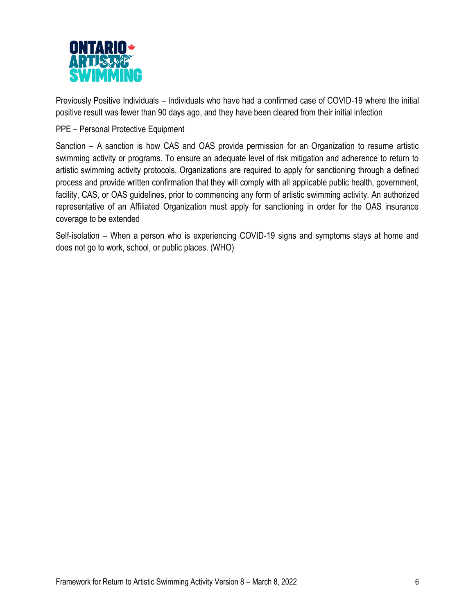

Previously Positive Individuals – Individuals who have had a confirmed case of COVID-19 where the initial positive result was fewer than 90 days ago, and they have been cleared from their initial infection

#### PPE – Personal Protective Equipment

Sanction – A sanction is how CAS and OAS provide permission for an Organization to resume artistic swimming activity or programs. To ensure an adequate level of risk mitigation and adherence to return to artistic swimming activity protocols, Organizations are required to apply for sanctioning through a defined process and provide written confirmation that they will comply with all applicable public health, government, facility, CAS, or OAS guidelines, prior to commencing any form of artistic swimming activity. An authorized representative of an Affiliated Organization must apply for sanctioning in order for the OAS insurance coverage to be extended

Self-isolation – When a person who is experiencing COVID-19 signs and symptoms stays at home and does not go to work, school, or public places. (WHO)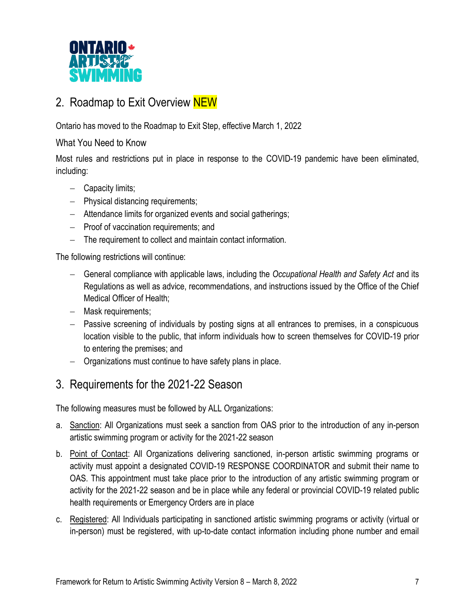

# 2. Roadmap to Exit Overview NEW

Ontario has moved to the Roadmap to Exit Step, effective March 1, 2022

#### What You Need to Know

Most rules and restrictions put in place in response to the COVID-19 pandemic have been eliminated, including:

- − Capacity limits;
- − Physical distancing requirements;
- − Attendance limits for organized events and social gatherings;
- − Proof of vaccination requirements; and
- − The requirement to collect and maintain contact information.

The following restrictions will continue:

- − General compliance with applicable laws, including the *Occupational Health and Safety Act* and its Regulations as well as advice, recommendations, and instructions issued by the Office of the Chief Medical Officer of Health;
- − Mask requirements;
- − Passive screening of individuals by posting signs at all entrances to premises, in a conspicuous location visible to the public, that inform individuals how to screen themselves for COVID-19 prior to entering the premises; and
- − Organizations must continue to have safety plans in place.

## 3. Requirements for the 2021-22 Season

The following measures must be followed by ALL Organizations:

- a. Sanction: All Organizations must seek a sanction from OAS prior to the introduction of any in-person artistic swimming program or activity for the 2021-22 season
- b. Point of Contact: All Organizations delivering sanctioned, in-person artistic swimming programs or activity must appoint a designated COVID-19 RESPONSE COORDINATOR and submit their name to OAS. This appointment must take place prior to the introduction of any artistic swimming program or activity for the 2021-22 season and be in place while any federal or provincial COVID-19 related public health requirements or Emergency Orders are in place
- c. Registered: All Individuals participating in sanctioned artistic swimming programs or activity (virtual or in-person) must be registered, with up-to-date contact information including phone number and email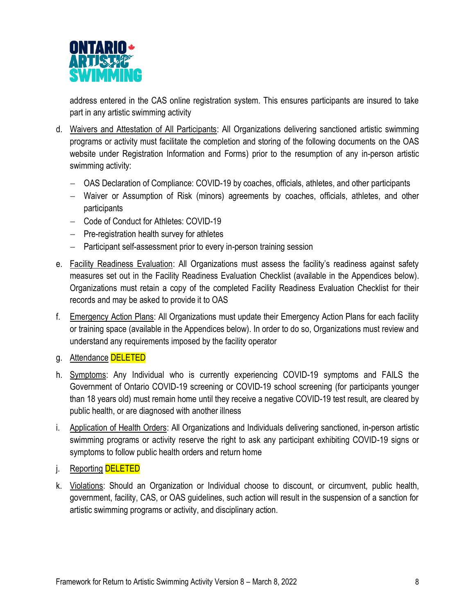

address entered in the CAS online registration system. This ensures participants are insured to take part in any artistic swimming activity

- d. Waivers and Attestation of All Participants: All Organizations delivering sanctioned artistic swimming programs or activity must facilitate the completion and storing of the following documents on the OAS website under Registration Information and Forms) prior to the resumption of any in-person artistic swimming activity:
	- − OAS Declaration of Compliance: COVID-19 by coaches, officials, athletes, and other participants
	- − Waiver or Assumption of Risk (minors) agreements by coaches, officials, athletes, and other participants
	- − Code of Conduct for Athletes: COVID-19
	- − Pre-registration health survey for athletes
	- − Participant self-assessment prior to every in-person training session
- e. Facility Readiness Evaluation: All Organizations must assess the facility's readiness against safety measures set out in the Facility Readiness Evaluation Checklist (available in the Appendices below). Organizations must retain a copy of the completed Facility Readiness Evaluation Checklist for their records and may be asked to provide it to OAS
- f. Emergency Action Plans: All Organizations must update their Emergency Action Plans for each facility or training space (available in the Appendices below). In order to do so, Organizations must review and understand any requirements imposed by the facility operator
- g. Attendance DELETED
- h. Symptoms: Any Individual who is currently experiencing COVID-19 symptoms and FAILS the Government of Ontario COVID-19 screening or COVID-19 school screening (for participants younger than 18 years old) must remain home until they receive a negative COVID-19 test result, are cleared by public health, or are diagnosed with another illness
- i. Application of Health Orders: All Organizations and Individuals delivering sanctioned, in-person artistic swimming programs or activity reserve the right to ask any participant exhibiting COVID-19 signs or symptoms to follow public health orders and return home
- j. Reporting DELETED
- k. Violations: Should an Organization or Individual choose to discount, or circumvent, public health, government, facility, CAS, or OAS guidelines, such action will result in the suspension of a sanction for artistic swimming programs or activity, and disciplinary action.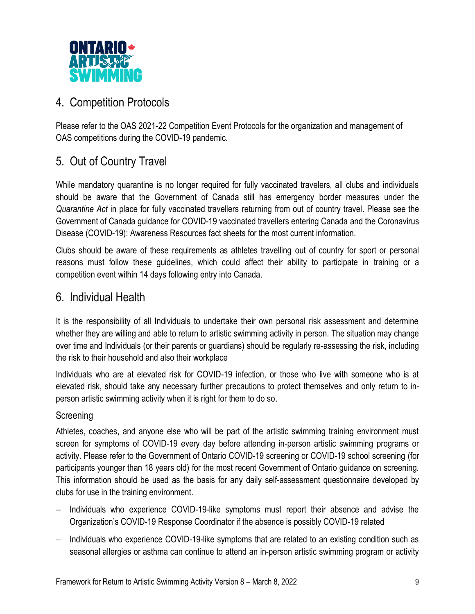

# 4. Competition Protocols

Please refer to the OAS 2021-22 Competition Event Protocols for the organization and management of OAS competitions during the COVID-19 pandemic.

# 5. Out of Country Travel

While mandatory quarantine is no longer required for fully vaccinated travelers, all clubs and individuals should be aware that the Government of Canada still has emergency border measures under the *Quarantine Act* in place for fully vaccinated travellers returning from out of country travel. Please see the Government of Canada guidance for COVID-19 vaccinated travellers entering Canada and the Coronavirus Disease (COVID-19): Awareness Resources fact sheets for the most current information.

Clubs should be aware of these requirements as athletes travelling out of country for sport or personal reasons must follow these guidelines, which could affect their ability to participate in training or a competition event within 14 days following entry into Canada.

## 6. Individual Health

It is the responsibility of all Individuals to undertake their own personal risk assessment and determine whether they are willing and able to return to artistic swimming activity in person. The situation may change over time and Individuals (or their parents or guardians) should be regularly re-assessing the risk, including the risk to their household and also their workplace

Individuals who are at elevated risk for COVID-19 infection, or those who live with someone who is at elevated risk, should take any necessary further precautions to protect themselves and only return to inperson artistic swimming activity when it is right for them to do so.

## **Screening**

Athletes, coaches, and anyone else who will be part of the artistic swimming training environment must screen for symptoms of COVID-19 every day before attending in-person artistic swimming programs or activity. Please refer to the Government of Ontario COVID-19 screening or COVID-19 school screening (for participants younger than 18 years old) for the most recent Government of Ontario guidance on screening. This information should be used as the basis for any daily self-assessment questionnaire developed by clubs for use in the training environment.

- − Individuals who experience COVID-19-like symptoms must report their absence and advise the Organization's COVID-19 Response Coordinator if the absence is possibly COVID-19 related
- − Individuals who experience COVID-19-like symptoms that are related to an existing condition such as seasonal allergies or asthma can continue to attend an in-person artistic swimming program or activity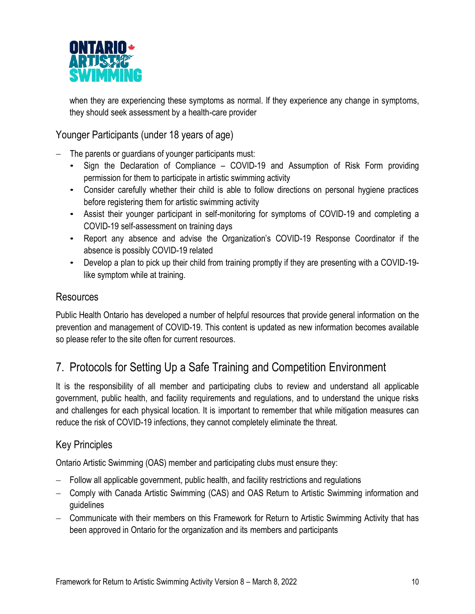

when they are experiencing these symptoms as normal. If they experience any change in symptoms, they should seek assessment by a health-care provider

Younger Participants (under 18 years of age)

The parents or guardians of younger participants must:

- Sign the Declaration of Compliance COVID-19 and Assumption of Risk Form providing permission for them to participate in artistic swimming activity
- Consider carefully whether their child is able to follow directions on personal hygiene practices before registering them for artistic swimming activity
- Assist their younger participant in self-monitoring for symptoms of COVID-19 and completing a COVID-19 self-assessment on training days
- Report any absence and advise the Organization's COVID-19 Response Coordinator if the absence is possibly COVID-19 related
- Develop a plan to pick up their child from training promptly if they are presenting with a COVID-19 like symptom while at training.

## Resources

Public Health Ontario has developed a number of helpful resources that provide general information on the prevention and management of COVID-19. This content is updated as new information becomes available so please refer to the site often for current resources.

# 7. Protocols for Setting Up a Safe Training and Competition Environment

It is the responsibility of all member and participating clubs to review and understand all applicable government, public health, and facility requirements and regulations, and to understand the unique risks and challenges for each physical location. It is important to remember that while mitigation measures can reduce the risk of COVID-19 infections, they cannot completely eliminate the threat.

## Key Principles

Ontario Artistic Swimming (OAS) member and participating clubs must ensure they:

- Follow all applicable government, public health, and facility restrictions and regulations
- − Comply with Canada Artistic Swimming (CAS) and OAS Return to Artistic Swimming information and guidelines
- − Communicate with their members on this Framework for Return to Artistic Swimming Activity that has been approved in Ontario for the organization and its members and participants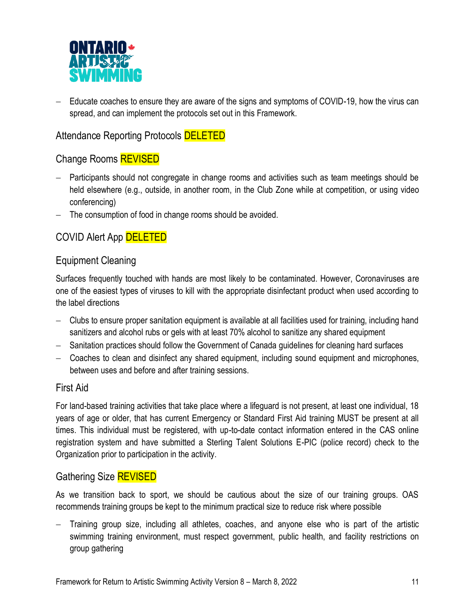

− Educate coaches to ensure they are aware of the signs and symptoms of COVID-19, how the virus can spread, and can implement the protocols set out in this Framework.

## Attendance Reporting Protocols **DELETED**

## Change Rooms REVISED

- − Participants should not congregate in change rooms and activities such as team meetings should be held elsewhere (e.g., outside, in another room, in the Club Zone while at competition, or using video conferencing)
- − The consumption of food in change rooms should be avoided.

## COVID Alert App DELETED

#### Equipment Cleaning

Surfaces frequently touched with hands are most likely to be contaminated. However, Coronaviruses are one of the easiest types of viruses to kill with the appropriate disinfectant product when used according to the label directions

- − Clubs to ensure proper sanitation equipment is available at all facilities used for training, including hand sanitizers and alcohol rubs or gels with at least 70% alcohol to sanitize any shared equipment
- − Sanitation practices should follow the Government of Canada guidelines for cleaning hard surfaces
- − Coaches to clean and disinfect any shared equipment, including sound equipment and microphones, between uses and before and after training sessions.

#### First Aid

For land-based training activities that take place where a lifeguard is not present, at least one individual, 18 years of age or older, that has current Emergency or Standard First Aid training MUST be present at all times. This individual must be registered, with up-to-date contact information entered in the CAS online registration system and have submitted a Sterling Talent Solutions E-PIC (police record) check to the Organization prior to participation in the activity.

## Gathering Size REVISED

As we transition back to sport, we should be cautious about the size of our training groups. OAS recommends training groups be kept to the minimum practical size to reduce risk where possible

− Training group size, including all athletes, coaches, and anyone else who is part of the artistic swimming training environment, must respect government, public health, and facility restrictions on group gathering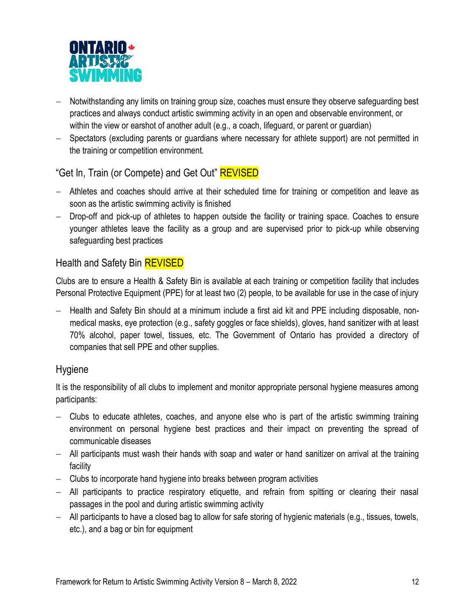

- − Notwithstanding any limits on training group size, coaches must ensure they observe safeguarding best practices and always conduct artistic swimming activity in an open and observable environment, or within the view or earshot of another adult (e.g., a coach, lifeguard, or parent or guardian)
- − Spectators (excluding parents or guardians where necessary for athlete support) are not permitted in the training or competition environment.

## "Get In, Train (or Compete) and Get Out" **REVISED**

- − Athletes and coaches should arrive at their scheduled time for training or competition and leave as soon as the artistic swimming activity is finished
- − Drop-off and pick-up of athletes to happen outside the facility or training space. Coaches to ensure younger athletes leave the facility as a group and are supervised prior to pick-up while observing safeguarding best practices

## Health and Safety Bin **REVISED**

Clubs are to ensure a Health & Safety Bin is available at each training or competition facility that includes Personal Protective Equipment (PPE) for at least two (2) people, to be available for use in the case of injury

− Health and Safety Bin should at a minimum include a first aid kit and PPE including disposable, nonmedical masks, eye protection (e.g., safety goggles or face shields), gloves, hand sanitizer with at least 70% alcohol, paper towel, tissues, etc. The Government of Ontario has provided a directory of companies that sell PPE and other supplies.

#### Hygiene

It is the responsibility of all clubs to implement and monitor appropriate personal hygiene measures among participants:

- − Clubs to educate athletes, coaches, and anyone else who is part of the artistic swimming training environment on personal hygiene best practices and their impact on preventing the spread of communicable diseases
- − All participants must wash their hands with soap and water or hand sanitizer on arrival at the training facility
- − Clubs to incorporate hand hygiene into breaks between program activities
- − All participants to practice respiratory etiquette, and refrain from spitting or clearing their nasal passages in the pool and during artistic swimming activity
- − All participants to have a closed bag to allow for safe storing of hygienic materials (e.g., tissues, towels, etc.), and a bag or bin for equipment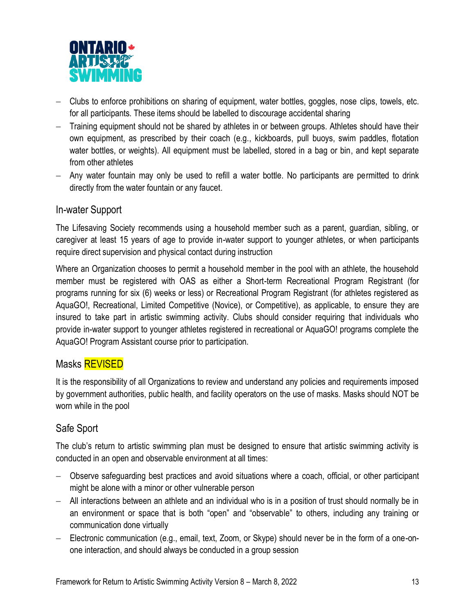

- − Clubs to enforce prohibitions on sharing of equipment, water bottles, goggles, nose clips, towels, etc. for all participants. These items should be labelled to discourage accidental sharing
- − Training equipment should not be shared by athletes in or between groups. Athletes should have their own equipment, as prescribed by their coach (e.g., kickboards, pull buoys, swim paddles, flotation water bottles, or weights). All equipment must be labelled, stored in a bag or bin, and kept separate from other athletes
- − Any water fountain may only be used to refill a water bottle. No participants are permitted to drink directly from the water fountain or any faucet.

#### In-water Support

The Lifesaving Society recommends using a household member such as a parent, guardian, sibling, or caregiver at least 15 years of age to provide in-water support to younger athletes, or when participants require direct supervision and physical contact during instruction

Where an Organization chooses to permit a household member in the pool with an athlete, the household member must be registered with OAS as either a Short-term Recreational Program Registrant (for programs running for six (6) weeks or less) or Recreational Program Registrant (for athletes registered as AquaGO!, Recreational, Limited Competitive (Novice), or Competitive), as applicable, to ensure they are insured to take part in artistic swimming activity. Clubs should consider requiring that individuals who provide in-water support to younger athletes registered in recreational or AquaGO! programs complete the AquaGO! Program Assistant course prior to participation.

#### Masks **REVISED**

It is the responsibility of all Organizations to review and understand any policies and requirements imposed by government authorities, public health, and facility operators on the use of masks. Masks should NOT be worn while in the pool

## Safe Sport

The club's return to artistic swimming plan must be designed to ensure that artistic swimming activity is conducted in an open and observable environment at all times:

- − Observe safeguarding best practices and avoid situations where a coach, official, or other participant might be alone with a minor or other vulnerable person
- − All interactions between an athlete and an individual who is in a position of trust should normally be in an environment or space that is both "open" and "observable" to others, including any training or communication done virtually
- − Electronic communication (e.g., email, text, Zoom, or Skype) should never be in the form of a one-onone interaction, and should always be conducted in a group session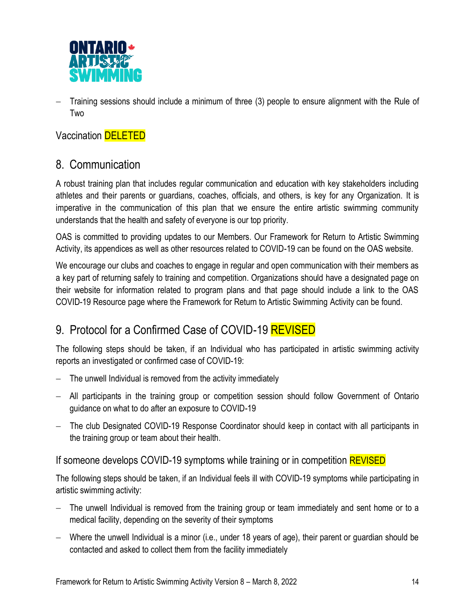

− Training sessions should include a minimum of three (3) people to ensure alignment with the Rule of Two

Vaccination **DELETED** 

## 8. Communication

A robust training plan that includes regular communication and education with key stakeholders including athletes and their parents or guardians, coaches, officials, and others, is key for any Organization. It is imperative in the communication of this plan that we ensure the entire artistic swimming community understands that the health and safety of everyone is our top priority.

OAS is committed to providing updates to our Members. Our Framework for Return to Artistic Swimming Activity, its appendices as well as other resources related to COVID-19 can be found on the OAS website.

We encourage our clubs and coaches to engage in regular and open communication with their members as a key part of returning safely to training and competition. Organizations should have a designated page on their website for information related to program plans and that page should include a link to the OAS COVID-19 Resource page where the Framework for Return to Artistic Swimming Activity can be found.

# 9. Protocol for a Confirmed Case of COVID-19 REVISED

The following steps should be taken, if an Individual who has participated in artistic swimming activity reports an investigated or confirmed case of COVID-19:

- The unwell Individual is removed from the activity immediately
- − All participants in the training group or competition session should follow Government of Ontario guidance on what to do after an exposure to COVID-19
- − The club Designated COVID-19 Response Coordinator should keep in contact with all participants in the training group or team about their health.

#### If someone develops COVID-19 symptoms while training or in competition **REVISED**

The following steps should be taken, if an Individual feels ill with COVID-19 symptoms while participating in artistic swimming activity:

- The unwell Individual is removed from the training group or team immediately and sent home or to a medical facility, depending on the severity of their symptoms
- − Where the unwell Individual is a minor (i.e., under 18 years of age), their parent or guardian should be contacted and asked to collect them from the facility immediately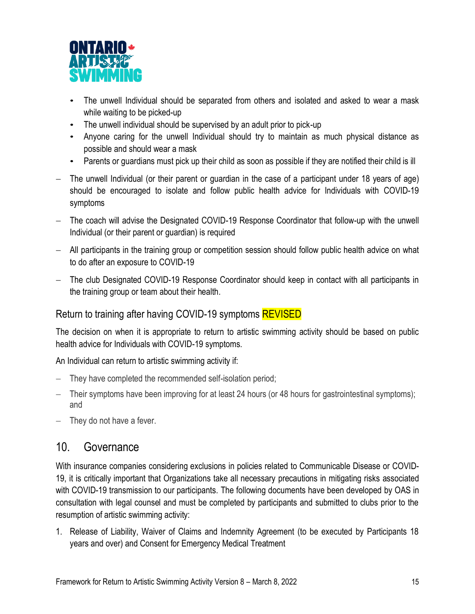

- The unwell Individual should be separated from others and isolated and asked to wear a mask while waiting to be picked-up
- The unwell individual should be supervised by an adult prior to pick-up
- Anyone caring for the unwell Individual should try to maintain as much physical distance as possible and should wear a mask
- Parents or guardians must pick up their child as soon as possible if they are notified their child is ill
- The unwell Individual (or their parent or guardian in the case of a participant under 18 years of age) should be encouraged to isolate and follow public health advice for Individuals with COVID-19 symptoms
- The coach will advise the Designated COVID-19 Response Coordinator that follow-up with the unwell Individual (or their parent or guardian) is required
- − All participants in the training group or competition session should follow public health advice on what to do after an exposure to COVID-19
- − The club Designated COVID-19 Response Coordinator should keep in contact with all participants in the training group or team about their health.

#### Return to training after having COVID-19 symptoms REVISED

The decision on when it is appropriate to return to artistic swimming activity should be based on public health advice for Individuals with COVID-19 symptoms.

An Individual can return to artistic swimming activity if:

- They have completed the recommended self-isolation period;
- Their symptoms have been improving for at least 24 hours (or 48 hours for gastrointestinal symptoms); and
- − They do not have a fever.

## 10. Governance

With insurance companies considering exclusions in policies related to Communicable Disease or COVID-19, it is critically important that Organizations take all necessary precautions in mitigating risks associated with COVID-19 transmission to our participants. The following documents have been developed by OAS in consultation with legal counsel and must be completed by participants and submitted to clubs prior to the resumption of artistic swimming activity:

1. Release of Liability, Waiver of Claims and Indemnity Agreement (to be executed by Participants 18 years and over) and Consent for Emergency Medical Treatment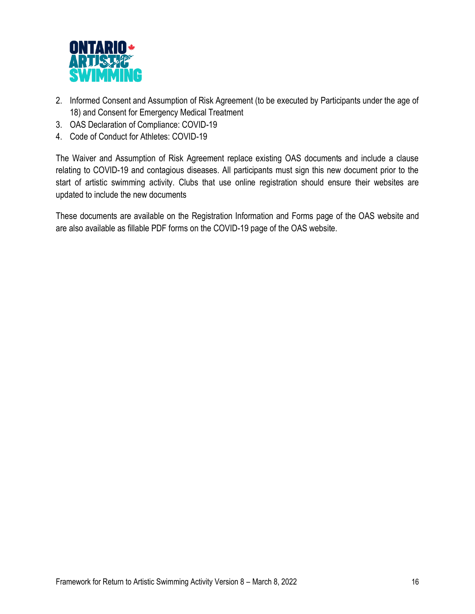

- 2. Informed Consent and Assumption of Risk Agreement (to be executed by Participants under the age of 18) and Consent for Emergency Medical Treatment
- 3. OAS Declaration of Compliance: COVID-19
- 4. Code of Conduct for Athletes: COVID-19

The Waiver and Assumption of Risk Agreement replace existing OAS documents and include a clause relating to COVID-19 and contagious diseases. All participants must sign this new document prior to the start of artistic swimming activity. Clubs that use online registration should ensure their websites are updated to include the new documents

These documents are available on the Registration Information and Forms page of the OAS website and are also available as fillable PDF forms on the COVID-19 page of the OAS website.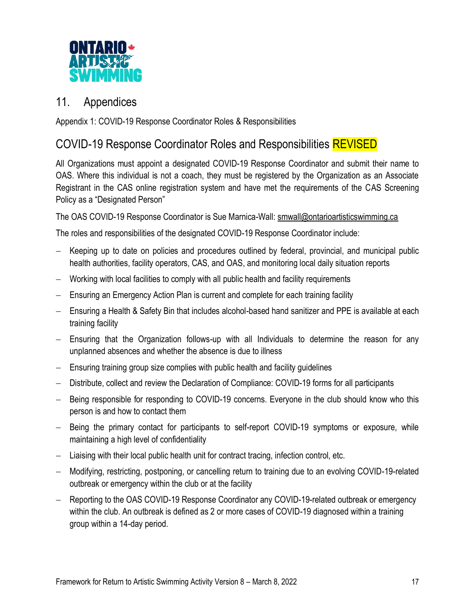

## 11. Appendices

Appendix 1: COVID-19 Response Coordinator Roles & Responsibilities

# COVID-19 Response Coordinator Roles and Responsibilities REVISED

All Organizations must appoint a designated COVID-19 Response Coordinator and submit their name to OAS. Where this individual is not a coach, they must be registered by the Organization as an Associate Registrant in the CAS online registration system and have met the requirements of the CAS Screening Policy as a "Designated Person"

The OAS COVID-19 Response Coordinator is Sue Marnica-Wall[: smwall@ontarioartisticswimming.ca](mailto:smwall@ontarioartisticswimming.ca) 

The roles and responsibilities of the designated COVID-19 Response Coordinator include:

- − Keeping up to date on policies and procedures outlined by federal, provincial, and municipal public health authorities, facility operators, CAS, and OAS, and monitoring local daily situation reports
- − Working with local facilities to comply with all public health and facility requirements
- − Ensuring an Emergency Action Plan is current and complete for each training facility
- − Ensuring a Health & Safety Bin that includes alcohol-based hand sanitizer and PPE is available at each training facility
- − Ensuring that the Organization follows-up with all Individuals to determine the reason for any unplanned absences and whether the absence is due to illness
- Ensuring training group size complies with public health and facility guidelines
- − Distribute, collect and review the Declaration of Compliance: COVID-19 forms for all participants
- − Being responsible for responding to COVID-19 concerns. Everyone in the club should know who this person is and how to contact them
- − Being the primary contact for participants to self-report COVID-19 symptoms or exposure, while maintaining a high level of confidentiality
- Liaising with their local public health unit for contract tracing, infection control, etc.
- − Modifying, restricting, postponing, or cancelling return to training due to an evolving COVID-19-related outbreak or emergency within the club or at the facility
- − Reporting to the OAS COVID-19 Response Coordinator any COVID-19-related outbreak or emergency within the club. An outbreak is defined as 2 or more cases of COVID-19 diagnosed within a training group within a 14-day period.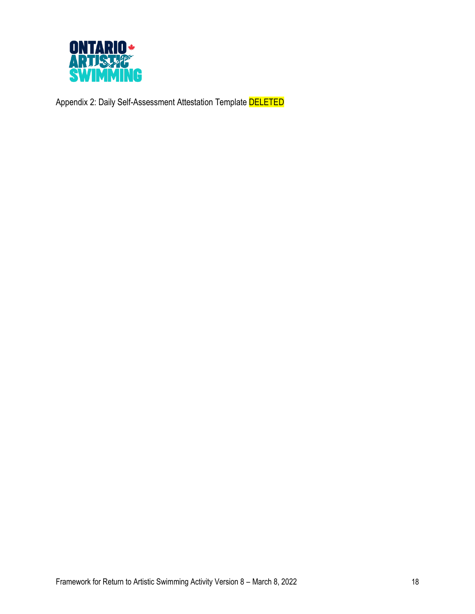

Appendix 2: Daily Self-Assessment Attestation Template **DELETED**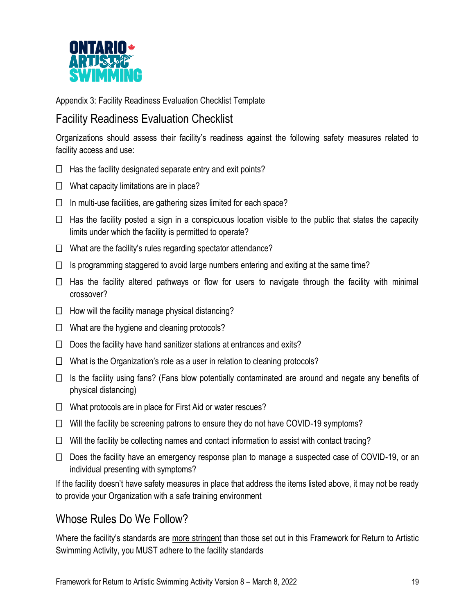

Appendix 3: Facility Readiness Evaluation Checklist Template

# Facility Readiness Evaluation Checklist

Organizations should assess their facility's readiness against the following safety measures related to facility access and use:

- $\Box$  Has the facility designated separate entry and exit points?
- $\Box$  What capacity limitations are in place?
- $\Box$  In multi-use facilities, are gathering sizes limited for each space?
- $\Box$  Has the facility posted a sign in a conspicuous location visible to the public that states the capacity limits under which the facility is permitted to operate?
- $\Box$  What are the facility's rules regarding spectator attendance?
- $\Box$  Is programming staggered to avoid large numbers entering and exiting at the same time?
- $\Box$  Has the facility altered pathways or flow for users to navigate through the facility with minimal crossover?
- $\Box$  How will the facility manage physical distancing?
- $\Box$  What are the hygiene and cleaning protocols?
- $\Box$  Does the facility have hand sanitizer stations at entrances and exits?
- $\Box$  What is the Organization's role as a user in relation to cleaning protocols?
- $\Box$  Is the facility using fans? (Fans blow potentially contaminated are around and negate any benefits of physical distancing)
- $\Box$  What protocols are in place for First Aid or water rescues?
- $\Box$  Will the facility be screening patrons to ensure they do not have COVID-19 symptoms?
- $\Box$  Will the facility be collecting names and contact information to assist with contact tracing?
- $\Box$  Does the facility have an emergency response plan to manage a suspected case of COVID-19, or an individual presenting with symptoms?

If the facility doesn't have safety measures in place that address the items listed above, it may not be ready to provide your Organization with a safe training environment

## Whose Rules Do We Follow?

Where the facility's standards are more stringent than those set out in this Framework for Return to Artistic Swimming Activity, you MUST adhere to the facility standards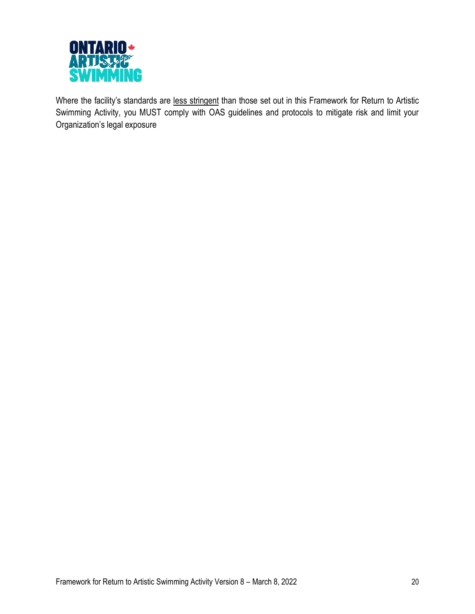

Where the facility's standards are less stringent than those set out in this Framework for Return to Artistic Swimming Activity, you MUST comply with OAS guidelines and protocols to mitigate risk and limit your Organization's legal exposure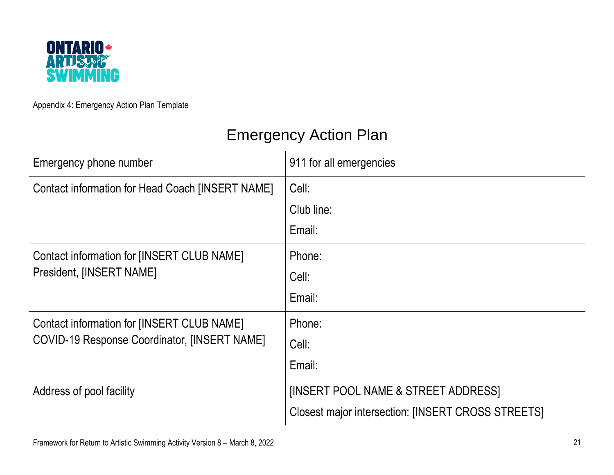

Appendix 4: Emergency Action Plan Template

# Emergency Action Plan

| Emergency phone number                                                 | 911 for all emergencies                                   |  |
|------------------------------------------------------------------------|-----------------------------------------------------------|--|
| Contact information for Head Coach [INSERT NAME]                       | Cell:                                                     |  |
|                                                                        | Club line:                                                |  |
|                                                                        | Email:                                                    |  |
| Contact information for [INSERT CLUB NAME]<br>President, [INSERT NAME] | Phone:                                                    |  |
|                                                                        | Cell:                                                     |  |
|                                                                        | Email:                                                    |  |
| Contact information for [INSERT CLUB NAME]                             | Phone:                                                    |  |
| <b>COVID-19 Response Coordinator, [INSERT NAME]</b>                    | Cell:                                                     |  |
|                                                                        | Email:                                                    |  |
| Address of pool facility                                               | <b>[INSERT POOL NAME &amp; STREET ADDRESS]</b>            |  |
|                                                                        | <b>Closest major intersection: [INSERT CROSS STREETS]</b> |  |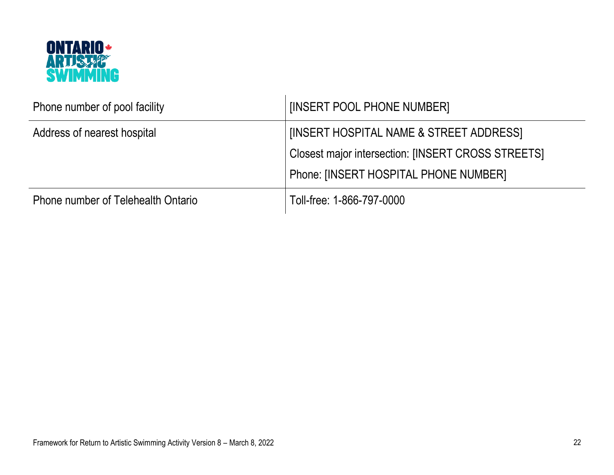

| Phone number of pool facility      | [INSERT POOL PHONE NUMBER]                                                                                                             |
|------------------------------------|----------------------------------------------------------------------------------------------------------------------------------------|
| Address of nearest hospital        | [INSERT HOSPITAL NAME & STREET ADDRESS]<br>Closest major intersection: [INSERT CROSS STREETS]<br>Phone: [INSERT HOSPITAL PHONE NUMBER] |
| Phone number of Telehealth Ontario | Toll-free: 1-866-797-0000                                                                                                              |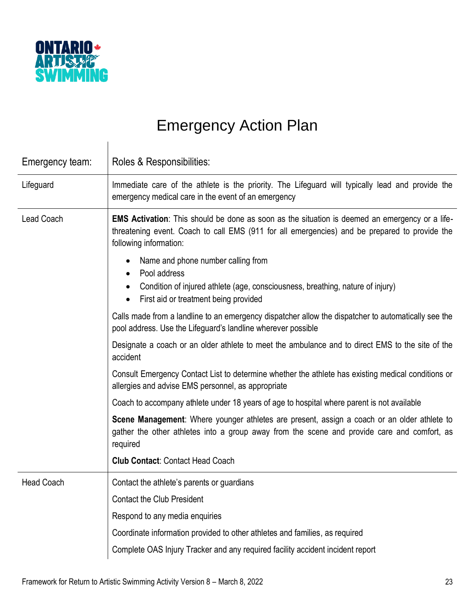

# Emergency Action Plan

| Emergency team:   | Roles & Responsibilities:                                                                                                                                                                                                 |
|-------------------|---------------------------------------------------------------------------------------------------------------------------------------------------------------------------------------------------------------------------|
| Lifeguard         | Immediate care of the athlete is the priority. The Lifeguard will typically lead and provide the<br>emergency medical care in the event of an emergency                                                                   |
| <b>Lead Coach</b> | EMS Activation: This should be done as soon as the situation is deemed an emergency or a life-<br>threatening event. Coach to call EMS (911 for all emergencies) and be prepared to provide the<br>following information: |
|                   | Name and phone number calling from<br>Pool address<br>Condition of injured athlete (age, consciousness, breathing, nature of injury)<br>First aid or treatment being provided<br>$\bullet$                                |
|                   | Calls made from a landline to an emergency dispatcher allow the dispatcher to automatically see the<br>pool address. Use the Lifeguard's landline wherever possible                                                       |
|                   | Designate a coach or an older athlete to meet the ambulance and to direct EMS to the site of the<br>accident                                                                                                              |
|                   | Consult Emergency Contact List to determine whether the athlete has existing medical conditions or<br>allergies and advise EMS personnel, as appropriate                                                                  |
|                   | Coach to accompany athlete under 18 years of age to hospital where parent is not available                                                                                                                                |
|                   | Scene Management: Where younger athletes are present, assign a coach or an older athlete to<br>gather the other athletes into a group away from the scene and provide care and comfort, as<br>required                    |
|                   | <b>Club Contact: Contact Head Coach</b>                                                                                                                                                                                   |
| <b>Head Coach</b> | Contact the athlete's parents or guardians                                                                                                                                                                                |
|                   | <b>Contact the Club President</b>                                                                                                                                                                                         |
|                   | Respond to any media enquiries                                                                                                                                                                                            |
|                   | Coordinate information provided to other athletes and families, as required                                                                                                                                               |
|                   | Complete OAS Injury Tracker and any required facility accident incident report                                                                                                                                            |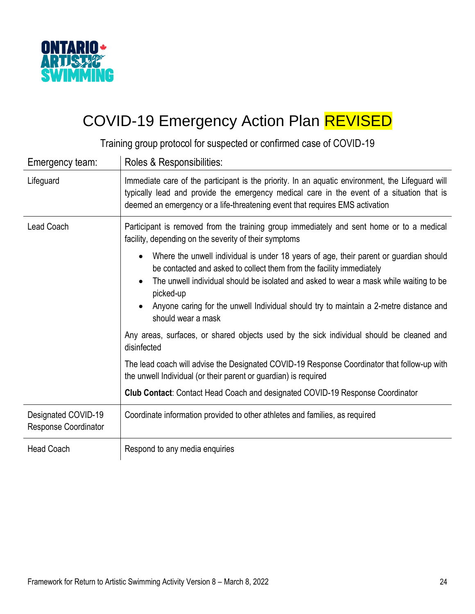

# COVID-19 Emergency Action Plan REVISED

Training group protocol for suspected or confirmed case of COVID-19

| Emergency team:                             | Roles & Responsibilities:                                                                                                                                                                                                                                                     |
|---------------------------------------------|-------------------------------------------------------------------------------------------------------------------------------------------------------------------------------------------------------------------------------------------------------------------------------|
| Lifeguard                                   | Immediate care of the participant is the priority. In an aquatic environment, the Lifeguard will<br>typically lead and provide the emergency medical care in the event of a situation that is<br>deemed an emergency or a life-threatening event that requires EMS activation |
| Lead Coach                                  | Participant is removed from the training group immediately and sent home or to a medical<br>facility, depending on the severity of their symptoms                                                                                                                             |
|                                             | Where the unwell individual is under 18 years of age, their parent or guardian should<br>$\bullet$<br>be contacted and asked to collect them from the facility immediately                                                                                                    |
|                                             | The unwell individual should be isolated and asked to wear a mask while waiting to be<br>picked-up                                                                                                                                                                            |
|                                             | Anyone caring for the unwell Individual should try to maintain a 2-metre distance and<br>should wear a mask                                                                                                                                                                   |
|                                             | Any areas, surfaces, or shared objects used by the sick individual should be cleaned and<br>disinfected                                                                                                                                                                       |
|                                             | The lead coach will advise the Designated COVID-19 Response Coordinator that follow-up with<br>the unwell Individual (or their parent or guardian) is required                                                                                                                |
|                                             | Club Contact: Contact Head Coach and designated COVID-19 Response Coordinator                                                                                                                                                                                                 |
| Designated COVID-19<br>Response Coordinator | Coordinate information provided to other athletes and families, as required                                                                                                                                                                                                   |
| <b>Head Coach</b>                           | Respond to any media enquiries                                                                                                                                                                                                                                                |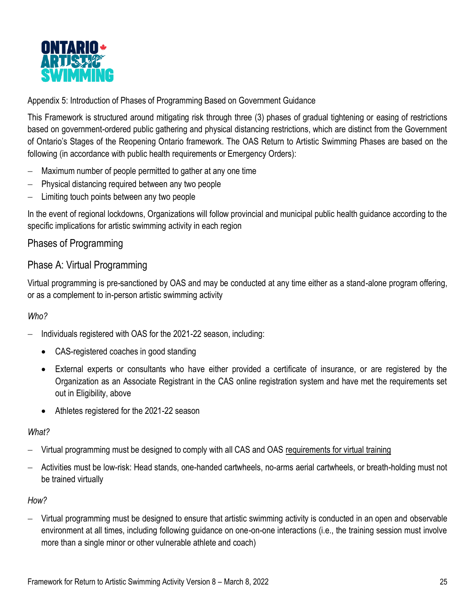

Appendix 5: Introduction of Phases of Programming Based on Government Guidance

This Framework is structured around mitigating risk through three (3) phases of gradual tightening or easing of restrictions based on government-ordered public gathering and physical distancing restrictions, which are distinct from the Government of Ontario's Stages of the Reopening Ontario framework. The OAS Return to Artistic Swimming Phases are based on the following (in accordance with public health requirements or Emergency Orders):

- Maximum number of people permitted to gather at any one time
- − Physical distancing required between any two people
- − Limiting touch points between any two people

In the event of regional lockdowns, Organizations will follow provincial and municipal public health guidance according to the specific implications for artistic swimming activity in each region

## Phases of Programming

#### Phase A: Virtual Programming

Virtual programming is pre-sanctioned by OAS and may be conducted at any time either as a stand-alone program offering, or as a complement to in-person artistic swimming activity

#### *Who?*

- − Individuals registered with OAS for the 2021-22 season, including:
	- CAS-registered coaches in good standing
	- External experts or consultants who have either provided a certificate of insurance, or are registered by the Organization as an Associate Registrant in the CAS online registration system and have met the requirements set out in Eligibility, above
	- Athletes registered for the 2021-22 season

#### *What?*

- Virtual programming must be designed to comply with all CAS and OAS [requirements for virtual training](https://ontarioartisticswimming.ca/requirements-for-virtual-training/)
- − Activities must be low-risk: Head stands, one-handed cartwheels, no-arms aerial cartwheels, or breath-holding must not be trained virtually

#### *How?*

− Virtual programming must be designed to ensure that artistic swimming activity is conducted in an open and observable environment at all times, including following guidance on one-on-one interactions (i.e., the training session must involve more than a single minor or other vulnerable athlete and coach)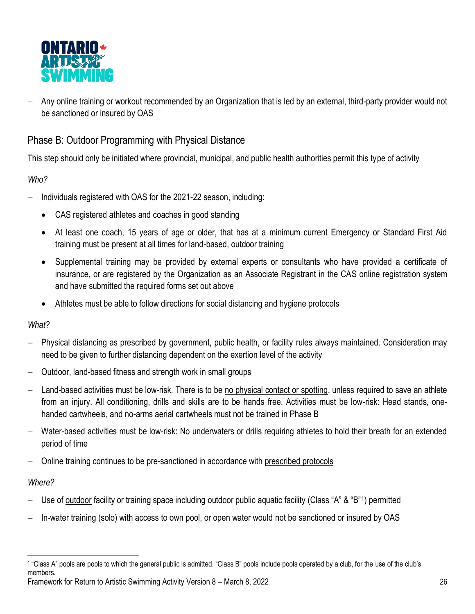

− Any online training or workout recommended by an Organization that is led by an external, third-party provider would not be sanctioned or insured by OAS

## Phase B: Outdoor Programming with Physical Distance

This step should only be initiated where provincial, municipal, and public health authorities permit this type of activity

#### *Who?*

- − Individuals registered with OAS for the 2021-22 season, including:
	- CAS registered athletes and coaches in good standing
	- At least one coach, 15 years of age or older, that has at a minimum current Emergency or Standard First Aid training must be present at all times for land-based, outdoor training
	- Supplemental training may be provided by external experts or consultants who have provided a certificate of insurance, or are registered by the Organization as an Associate Registrant in the CAS online registration system and have submitted the required forms set out above
	- Athletes must be able to follow directions for social distancing and hygiene protocols

#### *What?*

- − Physical distancing as prescribed by government, public health, or facility rules always maintained. Consideration may need to be given to further distancing dependent on the exertion level of the activity
- − Outdoor, land-based fitness and strength work in small groups
- Land-based activities must be low-risk. There is to be no physical contact or spotting, unless required to save an athlete from an injury. All conditioning, drills and skills are to be hands free. Activities must be low-risk: Head stands, onehanded cartwheels, and no-arms aerial cartwheels must not be trained in Phase B
- − Water-based activities must be low-risk: No underwaters or drills requiring athletes to hold their breath for an extended period of time
- − Online training continues to be pre-sanctioned in accordance with [prescribed protocols](https://ontarioartisticswimming.ca/requirements-for-virtual-training/)

#### *Where?*

- − Use of outdoor facility or training space including outdoor public aquatic facility (Class "A" & "B"1) permitted
- − In-water training (solo) with access to own pool, or open water would not be sanctioned or insured by OAS

Framework for Return to Artistic Swimming Activity Version 8 – March 8, 2022 26 1 "Class A" pools are pools to which the general public is admitted. "Class B" pools include pools operated by a club, for the use of the club's members.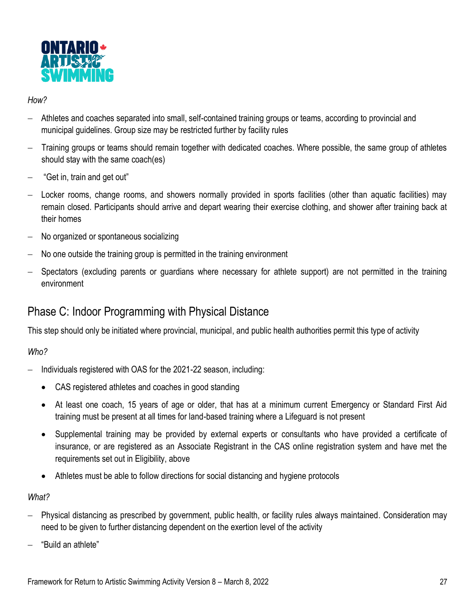

#### *How?*

- − Athletes and coaches separated into small, self-contained training groups or teams, according to provincial and municipal guidelines. Group size may be restricted further by facility rules
- − Training groups or teams should remain together with dedicated coaches. Where possible, the same group of athletes should stay with the same coach(es)
- − "Get in, train and get out"
- − Locker rooms, change rooms, and showers normally provided in sports facilities (other than aquatic facilities) may remain closed. Participants should arrive and depart wearing their exercise clothing, and shower after training back at their homes
- − No organized or spontaneous socializing
- No one outside the training group is permitted in the training environment
- Spectators (excluding parents or guardians where necessary for athlete support) are not permitted in the training environment

# Phase C: Indoor Programming with Physical Distance

This step should only be initiated where provincial, municipal, and public health authorities permit this type of activity

#### *Who?*

- − Individuals registered with OAS for the 2021-22 season, including:
	- CAS registered athletes and coaches in good standing
	- At least one coach, 15 years of age or older, that has at a minimum current Emergency or Standard First Aid training must be present at all times for land-based training where a Lifeguard is not present
	- Supplemental training may be provided by external experts or consultants who have provided a certificate of insurance, or are registered as an Associate Registrant in the CAS online registration system and have met the requirements set out in Eligibility, above
	- Athletes must be able to follow directions for social distancing and hygiene protocols

#### *What?*

- − Physical distancing as prescribed by government, public health, or facility rules always maintained. Consideration may need to be given to further distancing dependent on the exertion level of the activity
- − "Build an athlete"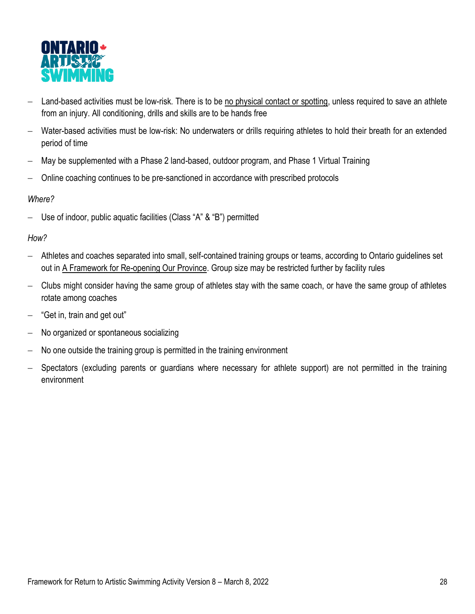

- − Land-based activities must be low-risk. There is to be no physical contact or spotting, unless required to save an athlete from an injury. All conditioning, drills and skills are to be hands free
- − Water-based activities must be low-risk: No underwaters or drills requiring athletes to hold their breath for an extended period of time
- − May be supplemented with a Phase 2 land-based, outdoor program, and Phase 1 Virtual Training
- − Online coaching continues to be pre-sanctioned in accordance with prescribed protocols

#### *Where?*

Use of indoor, public aquatic facilities (Class "A" & "B") permitted

#### *How?*

- − Athletes and coaches separated into small, self-contained training groups or teams, according to Ontario guidelines set out in [A Framework for Re-opening Our Province.](https://www.ontario.ca/page/framework-reopening-our-province) Group size may be restricted further by facility rules
- − Clubs might consider having the same group of athletes stay with the same coach, or have the same group of athletes rotate among coaches
- − "Get in, train and get out"
- − No organized or spontaneous socializing
- No one outside the training group is permitted in the training environment
- − Spectators (excluding parents or guardians where necessary for athlete support) are not permitted in the training environment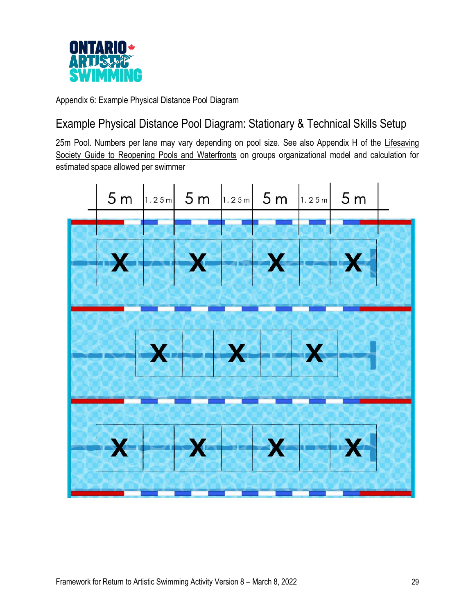

Appendix 6: Example Physical Distance Pool Diagram

# Example Physical Distance Pool Diagram: Stationary & Technical Skills Setup

25m Pool. Numbers per lane may vary depending on pool size. See also Appendix H of the Lifesaving [Society Guide to Reopening Pools and Waterfronts](https://www.lifesavingsociety.com/media/326693/98guide_reopening%20pools_waterfronts_updated%20july%202020.pdf) on groups organizational model and calculation for estimated space allowed per swimmer

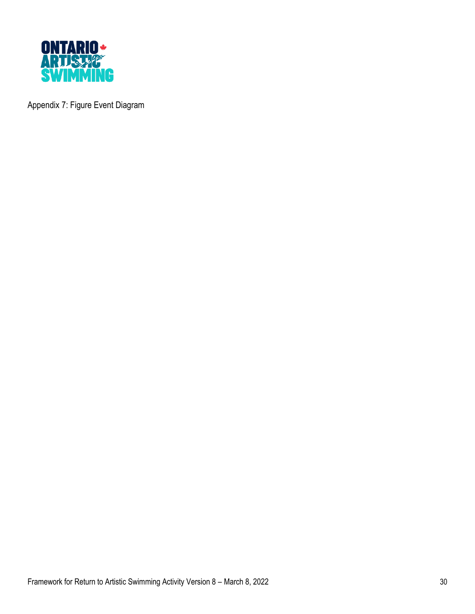

Appendix 7: Figure Event Diagram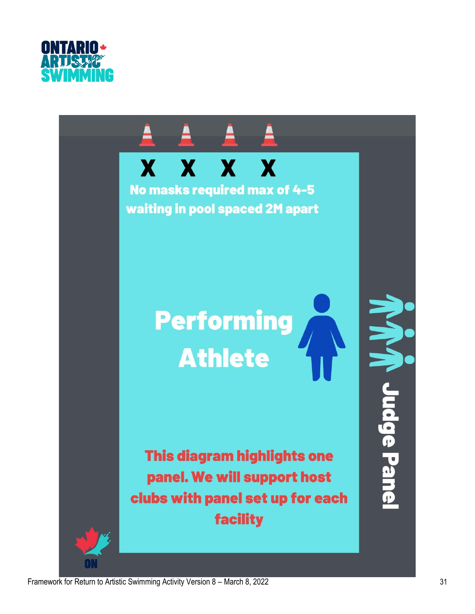